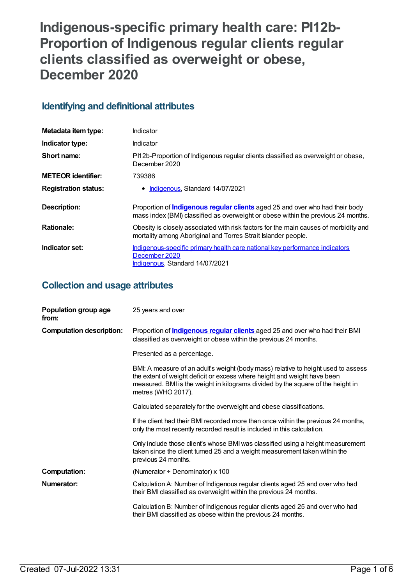# **Indigenous-specific primary health care: PI12b-Proportion of Indigenous regular clients regular clients classified as overweight or obese, December 2020**

## **Identifying and definitional attributes**

| Metadata item type:         | Indicator                                                                                                                                                                |
|-----------------------------|--------------------------------------------------------------------------------------------------------------------------------------------------------------------------|
| Indicator type:             | Indicator                                                                                                                                                                |
| Short name:                 | PI12b-Proportion of Indigenous regular clients classified as overweight or obese,<br>December 2020                                                                       |
| <b>METEOR identifier:</b>   | 739386                                                                                                                                                                   |
| <b>Registration status:</b> | • Indigenous, Standard 14/07/2021                                                                                                                                        |
| <b>Description:</b>         | Proportion of <b>Indigenous regular clients</b> aged 25 and over who had their body<br>mass index (BMI) classified as overweight or obese within the previous 24 months. |
|                             |                                                                                                                                                                          |
| <b>Rationale:</b>           | Obesity is closely associated with risk factors for the main causes of morbidity and<br>mortality among Aboriginal and Torres Strait Islander people.                    |

## **Collection and usage attributes**

| Population group age<br>from:   | 25 years and over                                                                                                                                                                                                                                                      |
|---------------------------------|------------------------------------------------------------------------------------------------------------------------------------------------------------------------------------------------------------------------------------------------------------------------|
| <b>Computation description:</b> | Proportion of <b>Indigenous regular clients</b> aged 25 and over who had their BMI<br>classified as overweight or obese within the previous 24 months.                                                                                                                 |
|                                 | Presented as a percentage.                                                                                                                                                                                                                                             |
|                                 | BMI: A measure of an adult's weight (body mass) relative to height used to assess<br>the extent of weight deficit or excess where height and weight have been<br>measured. BMI is the weight in kilograms divided by the square of the height in<br>metres (WHO 2017). |
|                                 | Calculated separately for the overweight and obese classifications.                                                                                                                                                                                                    |
|                                 | If the client had their BMI recorded more than once within the previous 24 months,<br>only the most recently recorded result is included in this calculation.                                                                                                          |
|                                 | Only include those client's whose BMI was classified using a height measurement<br>taken since the client turned 25 and a weight measurement taken within the<br>previous 24 months.                                                                                   |
| <b>Computation:</b>             | (Numerator $\div$ Denominator) x 100                                                                                                                                                                                                                                   |
| <b>Numerator:</b>               | Calculation A: Number of Indigenous regular clients aged 25 and over who had<br>their BMI classified as overweight within the previous 24 months.                                                                                                                      |
|                                 | Calculation B: Number of Indigenous regular clients aged 25 and over who had<br>their BMI classified as obese within the previous 24 months.                                                                                                                           |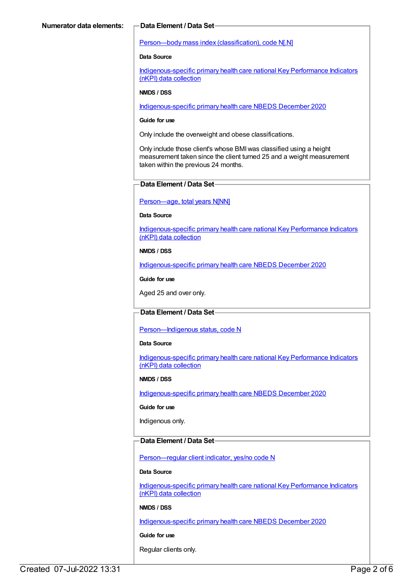#### Person—body mass index [\(classification\),](https://meteor.aihw.gov.au/content/270474) code N[.N]

#### **Data Source**

[Indigenous-specific](https://meteor.aihw.gov.au/content/737914) primary health care national Key Performance Indicators (nKPI) data collection

#### **NMDS / DSS**

[Indigenous-specific](https://meteor.aihw.gov.au/content/738532) primary health care NBEDS December 2020

#### **Guide for use**

Only include the overweight and obese classifications.

Only include those client's whose BMIwas classified using a height measurement taken since the client turned 25 and a weight measurement taken within the previous 24 months.

#### **Data Element / Data Set**

#### [Person—age,](https://meteor.aihw.gov.au/content/303794) total years N[NN]

#### **Data Source**

[Indigenous-specific](https://meteor.aihw.gov.au/content/737914) primary health care national Key Performance Indicators (nKPI) data collection

#### **NMDS / DSS**

[Indigenous-specific](https://meteor.aihw.gov.au/content/738532) primary health care NBEDS December 2020

**Guide for use**

Aged 25 and over only.

#### **Data Element / Data Set**

[Person—Indigenous](https://meteor.aihw.gov.au/content/602543) status, code N

#### **Data Source**

[Indigenous-specific](https://meteor.aihw.gov.au/content/737914) primary health care national Key Performance Indicators (nKPI) data collection

#### **NMDS / DSS**

[Indigenous-specific](https://meteor.aihw.gov.au/content/738532) primary health care NBEDS December 2020

#### **Guide for use**

Indigenous only.

### **Data Element / Data Set**

[Person—regular](https://meteor.aihw.gov.au/content/686291) client indicator, yes/no code N

#### **Data Source**

[Indigenous-specific](https://meteor.aihw.gov.au/content/737914) primary health care national Key Performance Indicators (nKPI) data collection

#### **NMDS / DSS**

[Indigenous-specific](https://meteor.aihw.gov.au/content/738532) primary health care NBEDS December 2020

#### **Guide for use**

Regular clients only.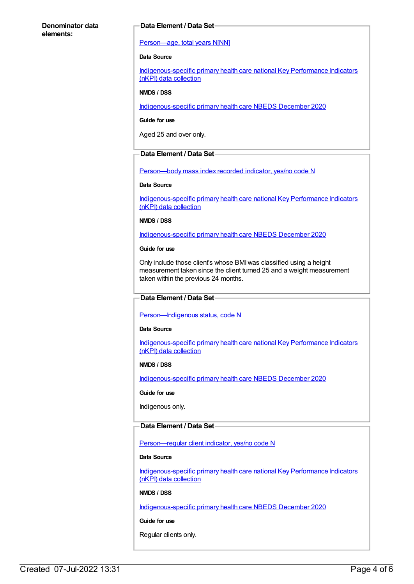#### **Denominator data elements:**

#### **Data Element / Data Set**

#### [Person—age,](https://meteor.aihw.gov.au/content/303794) total years N[NN]

#### **Data Source**

[Indigenous-specific](https://meteor.aihw.gov.au/content/737914) primary health care national Key Performance Indicators (nKPI) data collection

#### **NMDS / DSS**

[Indigenous-specific](https://meteor.aihw.gov.au/content/738532) primary health care NBEDS December 2020

**Guide for use**

Aged 25 and over only.

### **Data Element / Data Set**

[Person—body](https://meteor.aihw.gov.au/content/443083) mass index recorded indicator, yes/no code N

#### **Data Source**

[Indigenous-specific](https://meteor.aihw.gov.au/content/737914) primary health care national Key Performance Indicators (nKPI) data collection

#### **NMDS / DSS**

[Indigenous-specific](https://meteor.aihw.gov.au/content/738532) primary health care NBEDS December 2020

#### **Guide for use**

Only include those client's whose BMIwas classified using a height measurement taken since the client turned 25 and a weight measurement taken within the previous 24 months.

#### **Data Element / Data Set**

#### [Person—Indigenous](https://meteor.aihw.gov.au/content/602543) status, code N

#### **Data Source**

[Indigenous-specific](https://meteor.aihw.gov.au/content/737914) primary health care national Key Performance Indicators (nKPI) data collection

#### **NMDS / DSS**

[Indigenous-specific](https://meteor.aihw.gov.au/content/738532) primary health care NBEDS December 2020

#### **Guide for use**

Indigenous only.

#### **Data Element / Data Set**

Person-regular client indicator, yes/no code N

#### **Data Source**

[Indigenous-specific](https://meteor.aihw.gov.au/content/737914) primary health care national Key Performance Indicators (nKPI) data collection

#### **NMDS / DSS**

[Indigenous-specific](https://meteor.aihw.gov.au/content/738532) primary health care NBEDS December 2020

#### **Guide for use**

Regular clients only.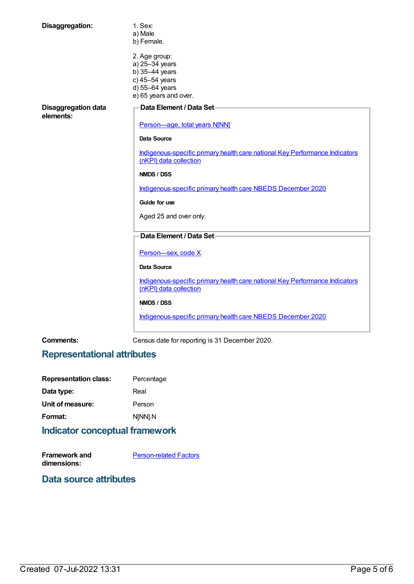| Disaggregation:                         | 1. Sex:<br>a) Male<br>b) Female.                                                                               |
|-----------------------------------------|----------------------------------------------------------------------------------------------------------------|
|                                         | 2. Age group:<br>a) 25-34 years<br>b) 35-44 years<br>c) 45-54 years<br>d) 55-64 years<br>e) 65 years and over. |
| <b>Disaggregation data</b><br>elements: | Data Element / Data Set-                                                                                       |
|                                         | Person-age, total years N[NN]                                                                                  |
|                                         | <b>Data Source</b>                                                                                             |
|                                         | Indigenous-specific primary health care national Key Performance Indicators<br>(nKPI) data collection          |
|                                         | NMDS / DSS                                                                                                     |
|                                         | Indigenous-specific primary health care NBEDS December 2020                                                    |
|                                         | Guide for use                                                                                                  |
|                                         | Aged 25 and over only.                                                                                         |
|                                         | Data Element / Data Set-                                                                                       |
|                                         | Person-sex, code X                                                                                             |
|                                         | <b>Data Source</b>                                                                                             |
|                                         | Indigenous-specific primary health care national Key Performance Indicators<br>(nKPI) data collection          |
|                                         | NMDS / DSS                                                                                                     |
|                                         | Indigenous-specific primary health care NBEDS December 2020                                                    |

**Comments:** Census date for reporting is 31 December 2020.

# **Representational attributes**

| <b>Representation class:</b> | Percentage |
|------------------------------|------------|
| Data type:                   | Real       |
| Unit of measure:             | Person     |
| Format:                      | N[NN].N    |
|                              |            |

# **Indicator conceptual framework**

**Framework and dimensions:** [Person-related](https://meteor.aihw.gov.au/content/410678) Factors

### **Data source attributes**